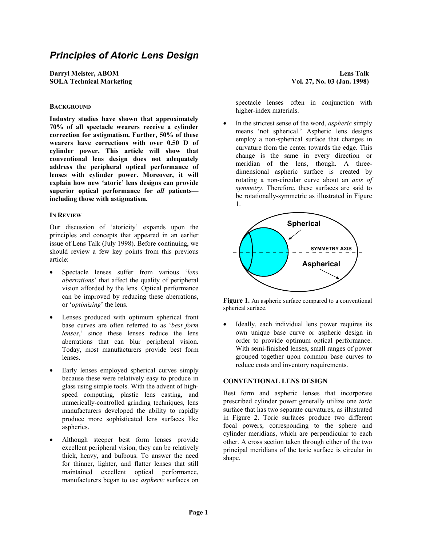# *Principles of Atoric Lens Design*

**Darryl Meister, ABOM Lens Talk SOLA Technical Marketing Vol. 27, No. 03 (Jan. 1998)**

## **BACKGROUND**

**Industry studies have shown that approximately 70% of all spectacle wearers receive a cylinder correction for astigmatism. Further, 50% of these wearers have corrections with over 0.50 D of cylinder power. This article will show that conventional lens design does not adequately address the peripheral optical performance of lenses with cylinder power. Moreover, it will explain how new 'atoric' lens designs can provide superior optical performance for** *all* **patients including those with astigmatism.**

### **IN REVIEW**

Our discussion of 'atoricity' expands upon the principles and concepts that appeared in an earlier issue of Lens Talk (July 1998). Before continuing, we should review a few key points from this previous article:

- Spectacle lenses suffer from various '*lens aberrations*' that affect the quality of peripheral vision afforded by the lens. Optical performance can be improved by reducing these aberrations, or '*optimizing*' the lens.
- Lenses produced with optimum spherical front base curves are often referred to as '*best form lenses*,' since these lenses reduce the lens aberrations that can blur peripheral vision. Today, most manufacturers provide best form lenses.
- Early lenses employed spherical curves simply because these were relatively easy to produce in glass using simple tools. With the advent of highspeed computing, plastic lens casting, and numerically-controlled grinding techniques, lens manufacturers developed the ability to rapidly produce more sophisticated lens surfaces like aspherics.
- Although steeper best form lenses provide excellent peripheral vision, they can be relatively thick, heavy, and bulbous. To answer the need for thinner, lighter, and flatter lenses that still maintained excellent optical performance, manufacturers began to use *aspheric* surfaces on

spectacle lenses—often in conjunction with higher-index materials.

• In the strictest sense of the word, *aspheric* simply means 'not spherical.' Aspheric lens designs employ a non-spherical surface that changes in curvature from the center towards the edge. This change is the same in every direction—or meridian—of the lens, though. A threedimensional aspheric surface is created by rotating a non-circular curve about an *axis of symmetry*. Therefore, these surfaces are said to be rotationally-symmetric as illustrated in Figure 1.



Figure 1. An aspheric surface compared to a conventional spherical surface.

Ideally, each individual lens power requires its own unique base curve or aspheric design in order to provide optimum optical performance. With semi-finished lenses, small ranges of power grouped together upon common base curves to reduce costs and inventory requirements.

#### **CONVENTIONAL LENS DESIGN**

Best form and aspheric lenses that incorporate prescribed cylinder power generally utilize one *toric* surface that has two separate curvatures, as illustrated in Figure 2. Toric surfaces produce two different focal powers, corresponding to the sphere and cylinder meridians, which are perpendicular to each other. A cross section taken through either of the two principal meridians of the toric surface is circular in shape.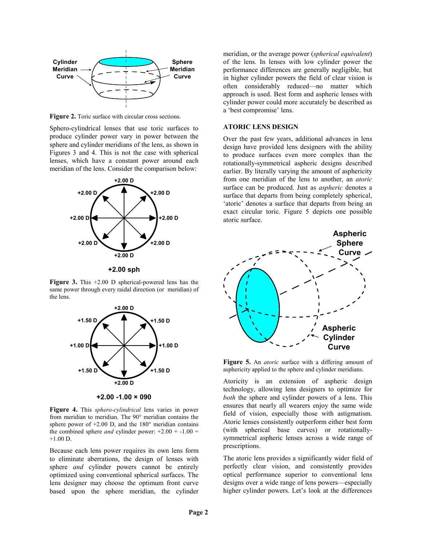

Figure 2. Toric surface with circular cross sections.

Sphero-cylindrical lenses that use toric surfaces to produce cylinder power vary in power between the sphere and cylinder meridians of the lens, as shown in Figures 3 and 4. This is not the case with spherical lenses, which have a constant power around each meridian of the lens. Consider the comparison below:



**+2.00 sph**

**Figure 3.** This +2.00 D spherical-powered lens has the same power through every raidal direction (or meridian) of the lens.



**+2.00 -1.00 × 090**

**Figure 4.** This *sphero-cylindrical* lens varies in power from meridian to meridian. The 90° meridian contains the sphere power of  $+2.00$  D, and the  $180^\circ$  meridian contains the combined sphere *and* cylinder power:  $+2.00 + -1.00 =$  $+1.00$  D.

Because each lens power requires its own lens form to eliminate aberrations, the design of lenses with sphere *and* cylinder powers cannot be entirely optimized using conventional spherical surfaces. The lens designer may choose the optimum front curve based upon the sphere meridian, the cylinder

meridian, or the average power (*spherical equivalent*) of the lens. In lenses with low cylinder power the performance differences are generally negligible, but in higher cylinder powers the field of clear vision is often considerably reduced—no matter which approach is used. Best form and aspheric lenses with cylinder power could more accurately be described as a 'best compromise' lens.

## **ATORIC LENS DESIGN**

Over the past few years, additional advances in lens design have provided lens designers with the ability to produce surfaces even more complex than the rotationally-symmetrical aspheric designs described earlier. By literally varying the amount of asphericity from one meridian of the lens to another, an *atoric* surface can be produced. Just as *aspheric* denotes a surface that departs from being completely spherical, 'atoric' denotes a surface that departs from being an exact circular toric. Figure 5 depicts one possible atoric surface.



**Figure 5.** An *atoric* surface with a differing amount of asphericity applied to the sphere and cylinder meridians.

Atoricity is an extension of aspheric design technology, allowing lens designers to optimize for *both* the sphere and cylinder powers of a lens. This ensures that nearly all wearers enjoy the same wide field of vision, especially those with astigmatism. Atoric lenses consistently outperform either best form (with spherical base curves) or rotationallysymmetrical aspheric lenses across a wide range of prescriptions.

The atoric lens provides a significantly wider field of perfectly clear vision, and consistently provides optical performance superior to conventional lens designs over a wide range of lens powers—especially higher cylinder powers. Let's look at the differences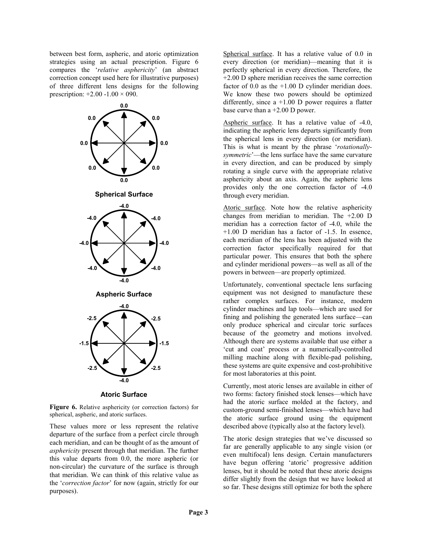between best form, aspheric, and atoric optimization strategies using an actual prescription. Figure 6 compares the '*relative asphericity*' (an abstract correction concept used here for illustrative purposes) of three different lens designs for the following prescription:  $+2.00 -1.00 \times 0.00$ .



**Atoric Surface**

**Figure 6.** Relative asphericity (or correction factors) for spherical, aspheric, and atoric surfaces.

These values more or less represent the relative departure of the surface from a perfect circle through each meridian, and can be thought of as the amount of *asphericity* present through that meridian. The further this value departs from 0.0, the more aspheric (or non-circular) the curvature of the surface is through that meridian. We can think of this relative value as the '*correction factor*' for now (again, strictly for our purposes).

Spherical surface. It has a relative value of 0.0 in every direction (or meridian)—meaning that it is perfectly spherical in every direction. Therefore, the +2.00 D sphere meridian receives the same correction factor of  $0.0$  as the  $+1.00$  D cylinder meridian does. We know these two powers should be optimized differently, since a +1.00 D power requires a flatter base curve than a +2.00 D power.

Aspheric surface. It has a relative value of -4.0, indicating the aspheric lens departs significantly from the spherical lens in every direction (or meridian). This is what is meant by the phrase '*rotationallysymmetric*'—the lens surface have the same curvature in every direction, and can be produced by simply rotating a single curve with the appropriate relative asphericity about an axis. Again, the aspheric lens provides only the one correction factor of -4.0 through every meridian.

Atoric surface. Note how the relative asphericity changes from meridian to meridian. The +2.00 D meridian has a correction factor of -4.0, while the +1.00 D meridian has a factor of -1.5. In essence, each meridian of the lens has been adjusted with the correction factor specifically required for that particular power. This ensures that both the sphere and cylinder meridional powers—as well as all of the powers in between—are properly optimized.

Unfortunately, conventional spectacle lens surfacing equipment was not designed to manufacture these rather complex surfaces. For instance, modern cylinder machines and lap tools—which are used for fining and polishing the generated lens surface—can only produce spherical and circular toric surfaces because of the geometry and motions involved. Although there are systems available that use either a 'cut and coat' process or a numerically-controlled milling machine along with flexible-pad polishing, these systems are quite expensive and cost-prohibitive for most laboratories at this point.

Currently, most atoric lenses are available in either of two forms: factory finished stock lenses—which have had the atoric surface molded at the factory, and custom-ground semi-finished lenses—which have had the atoric surface ground using the equipment described above (typically also at the factory level).

The atoric design strategies that we've discussed so far are generally applicable to any single vision (or even multifocal) lens design. Certain manufacturers have begun offering 'atoric' progressive addition lenses, but it should be noted that these atoric designs differ slightly from the design that we have looked at so far. These designs still optimize for both the sphere